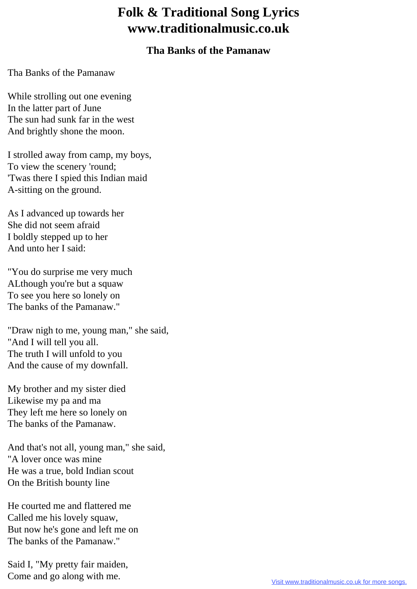## **Folk & Traditional Song Lyrics www.traditionalmusic.co.uk**

## **Tha Banks of the Pamanaw**

Tha Banks of the Pamanaw

While strolling out one evening In the latter part of June The sun had sunk far in the west And brightly shone the moon.

I strolled away from camp, my boys, To view the scenery 'round; 'Twas there I spied this Indian maid A-sitting on the ground.

As I advanced up towards her She did not seem afraid I boldly stepped up to her And unto her I said:

"You do surprise me very much ALthough you're but a squaw To see you here so lonely on The banks of the Pamanaw."

"Draw nigh to me, young man," she said, "And I will tell you all. The truth I will unfold to you And the cause of my downfall.

My brother and my sister died Likewise my pa and ma They left me here so lonely on The banks of the Pamanaw.

And that's not all, young man," she said, "A lover once was mine He was a true, bold Indian scout On the British bounty line

He courted me and flattered me Called me his lovely squaw, But now he's gone and left me on The banks of the Pamanaw."

Said I, "My pretty fair maiden, Come and go along with me.